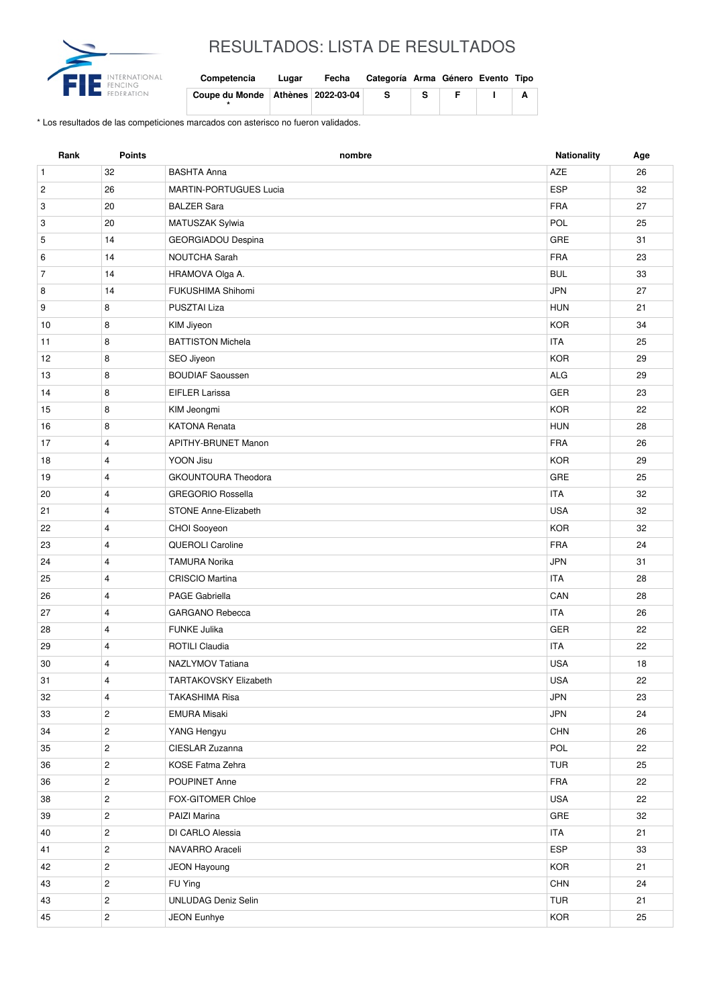

## RESULTADOS: LISTA DE RESULTADOS

| Competencia                           | Lugar | Fecha | Categoría Arma Género Evento Tipo |  |  |
|---------------------------------------|-------|-------|-----------------------------------|--|--|
| Coupe du Monde   Athènes   2022-03-04 |       |       | -S                                |  |  |

\* Los resultados de las competiciones marcados con asterisco no fueron validados.

| Rank           | <b>Points</b>  | nombre                        | Nationality | Age |
|----------------|----------------|-------------------------------|-------------|-----|
| $\mathbf{1}$   | 32             | <b>BASHTA Anna</b>            | <b>AZE</b>  | 26  |
| $\sqrt{2}$     | 26             | <b>MARTIN-PORTUGUES Lucia</b> | <b>ESP</b>  | 32  |
| 3              | 20             | <b>BALZER Sara</b>            | <b>FRA</b>  | 27  |
| 3              | 20             | MATUSZAK Sylwia               | POL         | 25  |
| 5              | 14             | GEORGIADOU Despina            | GRE         | 31  |
| 6              | 14             | <b>NOUTCHA Sarah</b>          | <b>FRA</b>  | 23  |
| $\overline{7}$ | 14             | HRAMOVA Olga A.               | <b>BUL</b>  | 33  |
| 8              | 14             | FUKUSHIMA Shihomi             | <b>JPN</b>  | 27  |
| 9              | 8              | <b>PUSZTAI Liza</b>           | <b>HUN</b>  | 21  |
| 10             | 8              | KIM Jiyeon                    | <b>KOR</b>  | 34  |
| 11             | 8              | <b>BATTISTON Michela</b>      | <b>ITA</b>  | 25  |
| 12             | 8              | SEO Jiyeon                    | <b>KOR</b>  | 29  |
| 13             | 8              | <b>BOUDIAF Saoussen</b>       | <b>ALG</b>  | 29  |
| 14             | 8              | <b>EIFLER Larissa</b>         | GER         | 23  |
| 15             | 8              | KIM Jeongmi                   | <b>KOR</b>  | 22  |
| 16             | 8              | <b>KATONA Renata</b>          | <b>HUN</b>  | 28  |
| 17             | $\overline{4}$ | <b>APITHY-BRUNET Manon</b>    | <b>FRA</b>  | 26  |
| 18             | 4              | YOON Jisu                     | <b>KOR</b>  | 29  |
| 19             | 4              | <b>GKOUNTOURA Theodora</b>    | GRE         | 25  |
| 20             | $\overline{4}$ | <b>GREGORIO Rossella</b>      | <b>ITA</b>  | 32  |
| 21             | 4              | <b>STONE Anne-Elizabeth</b>   | <b>USA</b>  | 32  |
| 22             | 4              | CHOI Sooyeon                  | <b>KOR</b>  | 32  |
| 23             | 4              | QUEROLI Caroline              | <b>FRA</b>  | 24  |
| 24             | $\overline{4}$ | <b>TAMURA Norika</b>          | <b>JPN</b>  | 31  |
| 25             | 4              | CRISCIO Martina               | <b>ITA</b>  | 28  |
| 26             | 4              | PAGE Gabriella                | CAN         | 28  |
| 27             | 4              | <b>GARGANO Rebecca</b>        | <b>ITA</b>  | 26  |
| 28             | 4              | <b>FUNKE Julika</b>           | <b>GER</b>  | 22  |
| 29             | 4              | ROTILI Claudia                | <b>ITA</b>  | 22  |
| 30             | 4              | NAZLYMOV Tatiana              | <b>USA</b>  | 18  |
| 31             | 4              | TARTAKOVSKY Elizabeth         | <b>USA</b>  | 22  |
| 32             | 4              | <b>TAKASHIMA Risa</b>         | <b>JPN</b>  | 23  |
| 33             | $\overline{c}$ | <b>EMURA Misaki</b>           | JPN         | 24  |
| 34             | $\overline{c}$ | YANG Hengyu                   | <b>CHN</b>  | 26  |
| 35             | $\overline{c}$ | CIESLAR Zuzanna               | POL         | 22  |
| 36             | $\overline{c}$ | KOSE Fatma Zehra              | <b>TUR</b>  | 25  |
| 36             | $\overline{c}$ | POUPINET Anne                 | FRA         | 22  |
| 38             | $\overline{c}$ | FOX-GITOMER Chloe             | USA         | 22  |
| 39             | $\overline{c}$ | PAIZI Marina                  | GRE         | 32  |
| 40             | $\overline{c}$ | DI CARLO Alessia              | <b>ITA</b>  | 21  |
| 41             | $\overline{c}$ | NAVARRO Araceli               | <b>ESP</b>  | 33  |
| 42             | $\mathbf{2}$   | JEON Hayoung                  | KOR         | 21  |
| 43             | $\overline{c}$ | FU Ying                       | <b>CHN</b>  | 24  |
| 43             | $\overline{c}$ | <b>UNLUDAG Deniz Selin</b>    | TUR         | 21  |
| 45             | $\overline{c}$ | <b>JEON Eunhye</b>            | <b>KOR</b>  | 25  |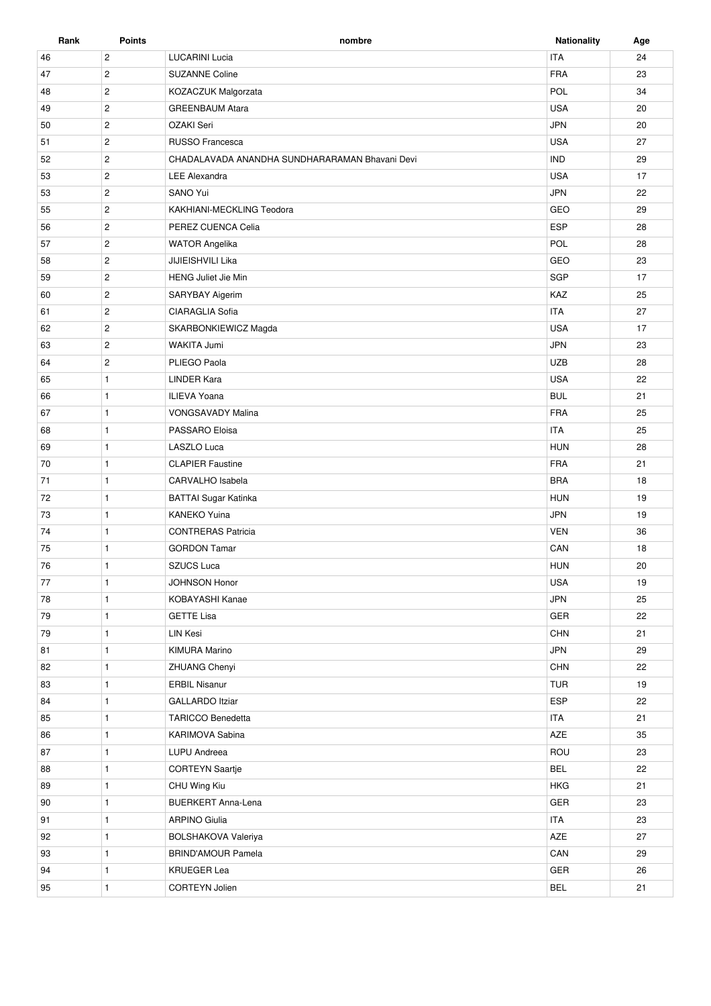| Rank     | <b>Points</b>  | nombre                                         | <b>Nationality</b> | Age |
|----------|----------------|------------------------------------------------|--------------------|-----|
| 46       | $\mathbf{2}$   | <b>LUCARINI Lucia</b>                          | <b>ITA</b>         | 24  |
| 47       | $\overline{2}$ | <b>SUZANNE Coline</b>                          | <b>FRA</b>         | 23  |
| 48       | $\overline{2}$ | KOZACZUK Malgorzata                            | POL                | 34  |
| 49       | $\sqrt{2}$     | <b>GREENBAUM Atara</b>                         | <b>USA</b>         | 20  |
| 50       | $\mathbf{2}$   | OZAKI Seri                                     | <b>JPN</b>         | 20  |
| 51       | $\overline{2}$ | RUSSO Francesca                                | <b>USA</b>         | 27  |
| 52       | $\overline{2}$ | CHADALAVADA ANANDHA SUNDHARARAMAN Bhavani Devi | <b>IND</b>         | 29  |
| 53       | $\overline{2}$ | <b>LEE Alexandra</b>                           | <b>USA</b>         | 17  |
| 53       | $\overline{2}$ | SANO Yui                                       | <b>JPN</b>         | 22  |
| 55       | $\overline{2}$ | KAKHIANI-MECKLING Teodora                      | GEO                | 29  |
| 56       | $\overline{c}$ | PEREZ CUENCA Celia                             | <b>ESP</b>         | 28  |
| 57       | $\overline{c}$ | <b>WATOR Angelika</b>                          | POL                | 28  |
| 58       | $\overline{2}$ | JIJIEISHVILI Lika                              | GEO                | 23  |
| 59       | $\overline{2}$ | <b>HENG Juliet Jie Min</b>                     | SGP                | 17  |
| 60       | $\mathbf{2}$   | SARYBAY Aigerim                                | KAZ                | 25  |
| 61       | $\overline{c}$ | CIARAGLIA Sofia                                | <b>ITA</b>         | 27  |
| 62       | $\mathbf{2}$   | SKARBONKIEWICZ Magda                           | <b>USA</b>         | 17  |
|          | $\overline{2}$ | WAKITA Jumi                                    | <b>JPN</b>         | 23  |
| 63<br>64 | $\overline{2}$ | PLIEGO Paola                                   | <b>UZB</b>         | 28  |
|          |                |                                                | <b>USA</b>         |     |
| 65       | $\mathbf{1}$   | <b>LINDER Kara</b>                             |                    | 22  |
| 66       | $\mathbf{1}$   | <b>ILIEVA Yoana</b>                            | <b>BUL</b>         | 21  |
| 67       | $\mathbf{1}$   | <b>VONGSAVADY Malina</b>                       | <b>FRA</b>         | 25  |
| 68       | $\mathbf{1}$   | PASSARO Eloisa                                 | <b>ITA</b>         | 25  |
| 69       | $\mathbf{1}$   | LASZLO Luca                                    | <b>HUN</b>         | 28  |
| 70       | $\mathbf{1}$   | <b>CLAPIER Faustine</b>                        | <b>FRA</b>         | 21  |
| 71       | $\mathbf{1}$   | CARVALHO Isabela                               | <b>BRA</b>         | 18  |
| 72       | $\mathbf{1}$   | BATTAI Sugar Katinka                           | <b>HUN</b>         | 19  |
| 73       | $\mathbf{1}$   | <b>KANEKO Yuina</b>                            | <b>JPN</b>         | 19  |
| 74       | $\mathbf{1}$   | <b>CONTRERAS Patricia</b>                      | <b>VEN</b>         | 36  |
| 75       | $\mathbf{1}$   | <b>GORDON Tamar</b>                            | CAN                | 18  |
| 76       | $\mathbf{1}$   | <b>SZUCS Luca</b>                              | <b>HUN</b>         | 20  |
| 77       | $\mathbf{1}$   | JOHNSON Honor                                  | <b>USA</b>         | 19  |
| 78       | $\mathbf{1}$   | KOBAYASHI Kanae                                | <b>JPN</b>         | 25  |
| 79       | $\mathbf{1}$   | <b>GETTE Lisa</b>                              | GER                | 22  |
| 79       | $\mathbf{1}$   | LIN Kesi                                       | <b>CHN</b>         | 21  |
| 81       | $\mathbf{1}$   | <b>KIMURA Marino</b>                           | <b>JPN</b>         | 29  |
| 82       | $\mathbf{1}$   | <b>ZHUANG Chenyi</b>                           | CHN                | 22  |
| 83       | $\mathbf{1}$   | <b>ERBIL Nisanur</b>                           | <b>TUR</b>         | 19  |
| 84       | $\mathbf{1}$   | <b>GALLARDO</b> Itziar                         | ESP                | 22  |
| 85       | $\mathbf{1}$   | <b>TARICCO Benedetta</b>                       | <b>ITA</b>         | 21  |
| 86       | $\mathbf{1}$   | KARIMOVA Sabina                                | AZE                | 35  |
| 87       | $\mathbf{1}$   | LUPU Andreea                                   | ROU                | 23  |
| 88       | $\mathbf{1}$   | <b>CORTEYN Saartje</b>                         | <b>BEL</b>         | 22  |
| 89       | $\mathbf{1}$   | CHU Wing Kiu                                   | <b>HKG</b>         | 21  |
| 90       | $\mathbf{1}$   | <b>BUERKERT Anna-Lena</b>                      | GER                | 23  |
| 91       | $\mathbf{1}$   | <b>ARPINO Giulia</b>                           | <b>ITA</b>         | 23  |
| 92       | $\mathbf{1}$   | <b>BOLSHAKOVA Valeriya</b>                     | AZE                | 27  |
| 93       | $\mathbf{1}$   | <b>BRIND'AMOUR Pamela</b>                      | CAN                | 29  |
| 94       | $\mathbf{1}$   | <b>KRUEGER Lea</b>                             | GER                | 26  |
| 95       | $\mathbf{1}$   | CORTEYN Jolien                                 | <b>BEL</b>         | 21  |
|          |                |                                                |                    |     |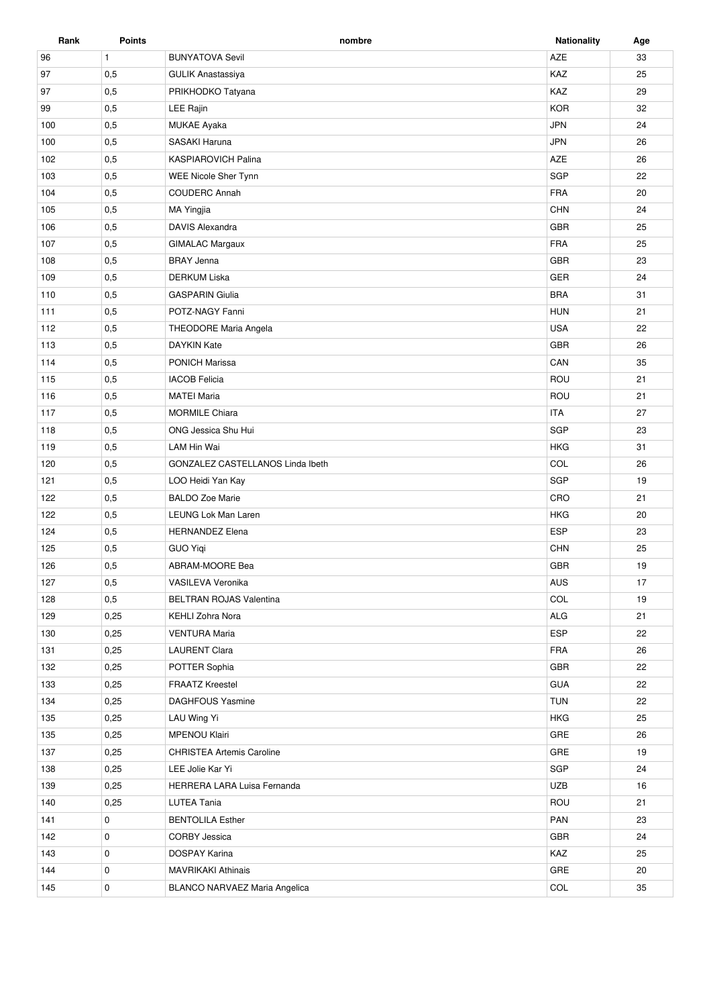| Rank | <b>Points</b> | nombre                           | <b>Nationality</b> | Age |
|------|---------------|----------------------------------|--------------------|-----|
| 96   | $\mathbf{1}$  | <b>BUNYATOVA Sevil</b>           | AZE                | 33  |
| 97   | 0,5           | <b>GULIK Anastassiya</b>         | KAZ                | 25  |
| 97   | 0,5           | PRIKHODKO Tatyana                | KAZ                | 29  |
| 99   | 0,5           | <b>LEE Rajin</b>                 | <b>KOR</b>         | 32  |
| 100  | 0,5           | MUKAE Ayaka                      | <b>JPN</b>         | 24  |
| 100  | 0,5           | <b>SASAKI Haruna</b>             | <b>JPN</b>         | 26  |
| 102  | 0,5           | <b>KASPIAROVICH Palina</b>       | AZE                | 26  |
| 103  | 0,5           | <b>WEE Nicole Sher Tynn</b>      | SGP                | 22  |
| 104  | 0,5           | <b>COUDERC Annah</b>             | <b>FRA</b>         | 20  |
| 105  | 0,5           | <b>MA Yingjia</b>                | CHN                | 24  |
| 106  | 0,5           | <b>DAVIS Alexandra</b>           | <b>GBR</b>         | 25  |
| 107  | 0,5           | <b>GIMALAC Margaux</b>           | <b>FRA</b>         | 25  |
| 108  | 0,5           | <b>BRAY Jenna</b>                | <b>GBR</b>         | 23  |
| 109  | 0,5           | <b>DERKUM Liska</b>              | GER                | 24  |
| 110  | 0,5           | <b>GASPARIN Giulia</b>           | <b>BRA</b>         | 31  |
| 111  | 0,5           | POTZ-NAGY Fanni                  | <b>HUN</b>         | 21  |
| 112  | 0,5           | THEODORE Maria Angela            | <b>USA</b>         | 22  |
| 113  | 0,5           | <b>DAYKIN Kate</b>               | <b>GBR</b>         | 26  |
| 114  | 0,5           | <b>PONICH Marissa</b>            | CAN                | 35  |
| 115  | 0,5           | <b>IACOB</b> Felicia             | ROU                | 21  |
| 116  | 0,5           | <b>MATEI Maria</b>               | ROU                | 21  |
| 117  | 0,5           | <b>MORMILE Chiara</b>            | <b>ITA</b>         | 27  |
| 118  | 0,5           | ONG Jessica Shu Hui              | SGP                | 23  |
| 119  | 0,5           | LAM Hin Wai                      | <b>HKG</b>         | 31  |
| 120  | 0,5           | GONZALEZ CASTELLANOS Linda Ibeth | COL                | 26  |
| 121  | 0,5           | LOO Heidi Yan Kay                | SGP                | 19  |
| 122  | 0,5           | <b>BALDO Zoe Marie</b>           | CRO                | 21  |
| 122  | 0,5           | LEUNG Lok Man Laren              | <b>HKG</b>         | 20  |
| 124  | 0,5           | <b>HERNANDEZ Elena</b>           | <b>ESP</b>         | 23  |
| 125  | 0,5           | <b>GUO Yigi</b>                  | CHN                | 25  |
| 126  | 0,5           | ABRAM-MOORE Bea                  | <b>GBR</b>         | 19  |
| 127  | 0,5           | VASILEVA Veronika                | AUS                | 17  |
| 128  | 0,5           | BELTRAN ROJAS Valentina          | COL                | 19  |
| 129  | 0,25          | <b>KEHLI Zohra Nora</b>          | ALG                | 21  |
| 130  | 0,25          | <b>VENTURA Maria</b>             | ESP                | 22  |
| 131  | 0,25          | <b>LAURENT Clara</b>             | <b>FRA</b>         | 26  |
| 132  | 0,25          | POTTER Sophia                    | GBR                | 22  |
| 133  | 0,25          | <b>FRAATZ Kreestel</b>           | GUA                | 22  |
| 134  | 0,25          | <b>DAGHFOUS Yasmine</b>          | <b>TUN</b>         | 22  |
| 135  | 0,25          | LAU Wing Yi                      | <b>HKG</b>         | 25  |
| 135  | 0,25          | MPENOU Klairi                    | GRE                | 26  |
| 137  | 0,25          | <b>CHRISTEA Artemis Caroline</b> | GRE                | 19  |
| 138  | 0,25          | LEE Jolie Kar Yi                 | SGP                | 24  |
| 139  | 0,25          | HERRERA LARA Luisa Fernanda      | <b>UZB</b>         | 16  |
| 140  | 0,25          | <b>LUTEA Tania</b>               | ROU                | 21  |
| 141  | 0             | <b>BENTOLILA Esther</b>          | PAN                | 23  |
| 142  | 0             | <b>CORBY Jessica</b>             | GBR                | 24  |
| 143  | 0             | <b>DOSPAY Karina</b>             | KAZ                | 25  |
| 144  | 0             | <b>MAVRIKAKI Athinais</b>        | GRE                | 20  |
| 145  | 0             | BLANCO NARVAEZ Maria Angelica    | COL                | 35  |